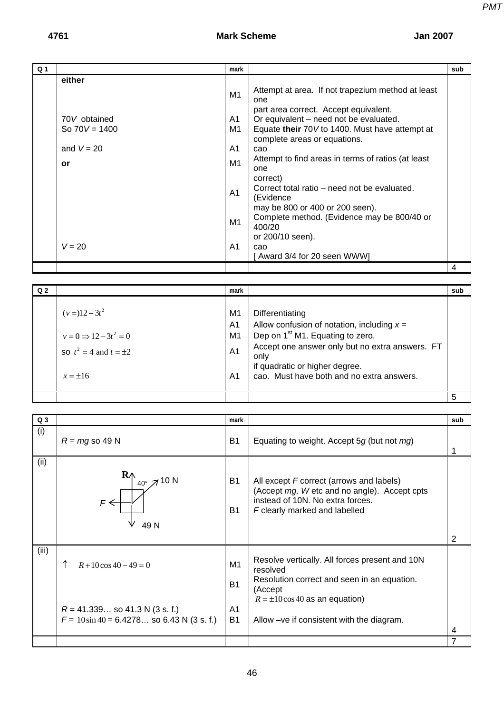*PMT*

|                |                                                                             | mark                                                                             |                                                                                                                                                                                                                                                                                                                                                                                                                                                                                                                                | sub |
|----------------|-----------------------------------------------------------------------------|----------------------------------------------------------------------------------|--------------------------------------------------------------------------------------------------------------------------------------------------------------------------------------------------------------------------------------------------------------------------------------------------------------------------------------------------------------------------------------------------------------------------------------------------------------------------------------------------------------------------------|-----|
| Q <sub>1</sub> | either<br>70V obtained<br>So $70V = 1400$<br>and $V = 20$<br>or<br>$V = 20$ | M1<br>A1<br>M1<br>A <sub>1</sub><br>M1<br>A <sub>1</sub><br>M1<br>A <sub>1</sub> | Attempt at area. If not trapezium method at least<br>one<br>part area correct. Accept equivalent.<br>Or equivalent – need not be evaluated.<br>Equate their 70V to 1400. Must have attempt at<br>complete areas or equations.<br>cao<br>Attempt to find areas in terms of ratios (at least<br>one<br>correct)<br>Correct total ratio – need not be evaluated.<br>(Evidence<br>may be 800 or 400 or 200 seen).<br>Complete method. (Evidence may be 800/40 or<br>400/20<br>or 200/10 seen).<br>cao<br>Award 3/4 for 20 seen WWW |     |
|                |                                                                             |                                                                                  |                                                                                                                                                                                                                                                                                                                                                                                                                                                                                                                                | 4   |

| Q <sub>2</sub> |                                                                                           | mark                                                                       |                                                                                                                                                                                                                                                           | sub |
|----------------|-------------------------------------------------------------------------------------------|----------------------------------------------------------------------------|-----------------------------------------------------------------------------------------------------------------------------------------------------------------------------------------------------------------------------------------------------------|-----|
|                | $(v=)12-3t^2$<br>$v=0 \implies 12-3t^2=0$<br>so $t^2 = 4$ and $t = \pm 2$<br>$x = \pm 16$ | M1<br>A <sub>1</sub><br>M <sub>1</sub><br>A <sub>1</sub><br>A <sub>1</sub> | Differentiating<br>Allow confusion of notation, including $x =$<br>Dep on 1 <sup>st</sup> M1. Equating to zero.<br>Accept one answer only but no extra answers. FT<br>only<br>if quadratic or higher degree.<br>cao. Must have both and no extra answers. |     |
|                |                                                                                           |                                                                            |                                                                                                                                                                                                                                                           | 5   |

| Q <sub>3</sub> |                                                                                                              | mark                                                |                                                                                                                                                                                                           | sub |
|----------------|--------------------------------------------------------------------------------------------------------------|-----------------------------------------------------|-----------------------------------------------------------------------------------------------------------------------------------------------------------------------------------------------------------|-----|
| (i)            | $R = mg$ so 49 N                                                                                             | <b>B1</b>                                           | Equating to weight. Accept 5 $g$ (but not $mg$ )                                                                                                                                                          |     |
| (ii)           | $\mathbf{R} \wedge$<br>$40^{\circ}$ 7 10 N<br>$\epsilon$<br>49 N                                             | B <sub>1</sub><br><b>B1</b>                         | All except F correct (arrows and labels)<br>(Accept mg, W etc and no angle). Accept cpts<br>instead of 10N. No extra forces.<br>F clearly marked and labelled                                             | 2   |
| (iii)          | $R + 10\cos 40 - 49 = 0$<br>$R = 41.339$ so 41.3 N (3 s. f.)<br>$F = 10\sin 40 = 6.4278$ so 6.43 N (3 s. f.) | M1<br><b>B1</b><br>A <sub>1</sub><br>B <sub>1</sub> | Resolve vertically. All forces present and 10N<br>resolved<br>Resolution correct and seen in an equation.<br>(Accept<br>$R = \pm 10 \cos 40$ as an equation)<br>Allow -ve if consistent with the diagram. | 4   |
|                |                                                                                                              |                                                     |                                                                                                                                                                                                           | 7   |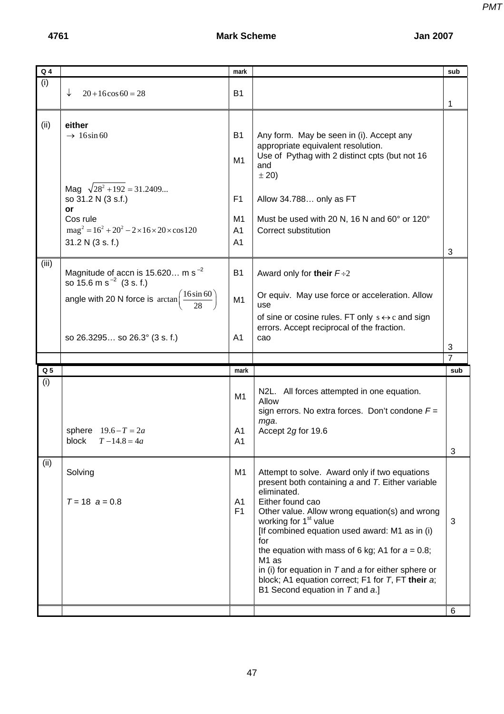| $Q_4$          |                                                                                                                                                                                                           | mark                                                     |                                                                                                                                                                                                                                                                                                                                                                                                                                                                                                                  | sub |
|----------------|-----------------------------------------------------------------------------------------------------------------------------------------------------------------------------------------------------------|----------------------------------------------------------|------------------------------------------------------------------------------------------------------------------------------------------------------------------------------------------------------------------------------------------------------------------------------------------------------------------------------------------------------------------------------------------------------------------------------------------------------------------------------------------------------------------|-----|
| (i)            | ↓<br>$20+16\cos 60=28$                                                                                                                                                                                    | <b>B1</b>                                                |                                                                                                                                                                                                                                                                                                                                                                                                                                                                                                                  | 1   |
| (ii)           | either<br>$\rightarrow$ 16sin 60                                                                                                                                                                          | <b>B1</b><br>M <sub>1</sub>                              | Any form. May be seen in (i). Accept any<br>appropriate equivalent resolution.<br>Use of Pythag with 2 distinct cpts (but not 16<br>and<br>± 20)                                                                                                                                                                                                                                                                                                                                                                 |     |
|                | Mag $\sqrt{28^2 + 192} = 31.2409$<br>so 31.2 N (3 s.f.)<br>or<br>Cos rule<br>$mag^{2} = 16^{2} + 20^{2} - 2 \times 16 \times 20 \times cos 120$<br>31.2 N (3 s. f.)                                       | F <sub>1</sub><br>M1<br>A <sub>1</sub><br>A <sub>1</sub> | Allow 34.788 only as FT<br>Must be used with 20 N, 16 N and 60° or 120°<br>Correct substitution                                                                                                                                                                                                                                                                                                                                                                                                                  | 3   |
| (iii)          | Magnitude of accn is 15.620 m s <sup>-2</sup><br>so 15.6 m s <sup><math>-2</math></sup> (3 s. f.)<br>angle with 20 N force is $\arctan\left(\frac{16\sin 60}{28}\right)$<br>so 26.3295 so 26.3° (3 s. f.) | <b>B1</b><br>M1<br>A <sub>1</sub>                        | Award only for their $F \div 2$<br>Or equiv. May use force or acceleration. Allow<br>use<br>of sine or cosine rules. FT only $s \leftrightarrow c$ and sign<br>errors. Accept reciprocal of the fraction.<br>cao                                                                                                                                                                                                                                                                                                 | 3   |
|                |                                                                                                                                                                                                           |                                                          |                                                                                                                                                                                                                                                                                                                                                                                                                                                                                                                  | 7   |
|                |                                                                                                                                                                                                           |                                                          |                                                                                                                                                                                                                                                                                                                                                                                                                                                                                                                  |     |
| Q <sub>5</sub> |                                                                                                                                                                                                           | mark                                                     |                                                                                                                                                                                                                                                                                                                                                                                                                                                                                                                  | sub |
| (i)            | sphere $19.6 - T = 2a$<br>block $T-14.8 = 4a$                                                                                                                                                             | M1<br>A1<br>A1                                           | N2L. All forces attempted in one equation.<br>Allow<br>sign errors. No extra forces. Don't condone $F =$<br>mga.<br>Accept 2g for 19.6                                                                                                                                                                                                                                                                                                                                                                           |     |
|                |                                                                                                                                                                                                           |                                                          |                                                                                                                                                                                                                                                                                                                                                                                                                                                                                                                  | 3   |
| (ii)           | Solving<br>$T = 18$ $a = 0.8$                                                                                                                                                                             | M1<br>A <sub>1</sub><br>F <sub>1</sub>                   | Attempt to solve. Award only if two equations<br>present both containing a and T. Either variable<br>eliminated.<br>Either found cao<br>Other value. Allow wrong equation(s) and wrong<br>working for 1 <sup>st</sup> value<br>[If combined equation used award: M1 as in (i)<br>for<br>the equation with mass of 6 kg; A1 for $a = 0.8$ ;<br>M <sub>1</sub> as<br>in (i) for equation in $T$ and a for either sphere or<br>block; A1 equation correct; F1 for T, FT their a;<br>B1 Second equation in T and a.] | 3   |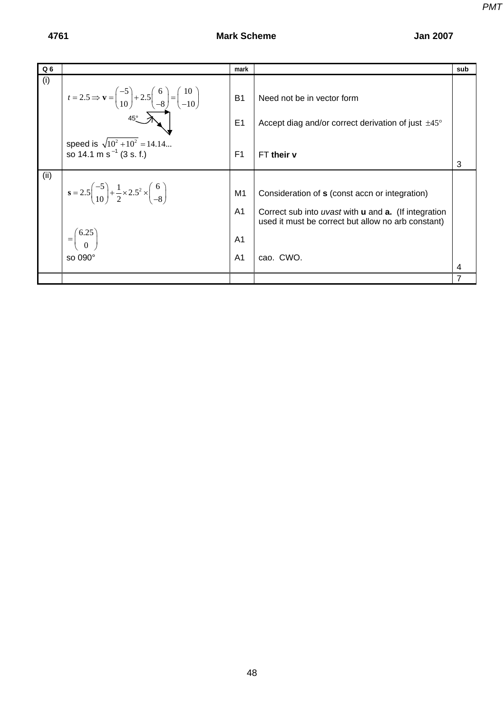| Q <sub>6</sub> |                                                                                                                                                                               | mark                                                     |                                                                                                                                                                                         | sub |
|----------------|-------------------------------------------------------------------------------------------------------------------------------------------------------------------------------|----------------------------------------------------------|-----------------------------------------------------------------------------------------------------------------------------------------------------------------------------------------|-----|
| (i)            | $t = 2.5 \Rightarrow \mathbf{v} = \begin{pmatrix} -5 \\ 10 \end{pmatrix} + 2.5 \begin{pmatrix} 6 \\ -8 \end{pmatrix} = \begin{pmatrix} 10 \\ -10 \end{pmatrix}$<br>$45^\circ$ | <b>B1</b><br>E1                                          | Need not be in vector form<br>Accept diag and/or correct derivation of just $\pm 45^{\circ}$                                                                                            |     |
|                | speed is $\sqrt{10^2 + 10^2} = 14.14$<br>so 14.1 m s <sup><math>-1</math></sup> (3 s. f.)                                                                                     | F <sub>1</sub>                                           | FT their v                                                                                                                                                                              | 3   |
| (ii)           | $s = 2.5\left(\frac{-5}{10}\right) + \frac{1}{2} \times 2.5^{2} \times \left(\frac{6}{-8}\right)$<br>$=\binom{6.25}{0}$<br>so $090^\circ$                                     | M1<br>A <sub>1</sub><br>A <sub>1</sub><br>A <sub>1</sub> | Consideration of s (const accn or integration)<br>Correct sub into uvast with <b>u</b> and <b>a.</b> (If integration<br>used it must be correct but allow no arb constant)<br>cao. CWO. | 4   |
|                |                                                                                                                                                                               |                                                          |                                                                                                                                                                                         |     |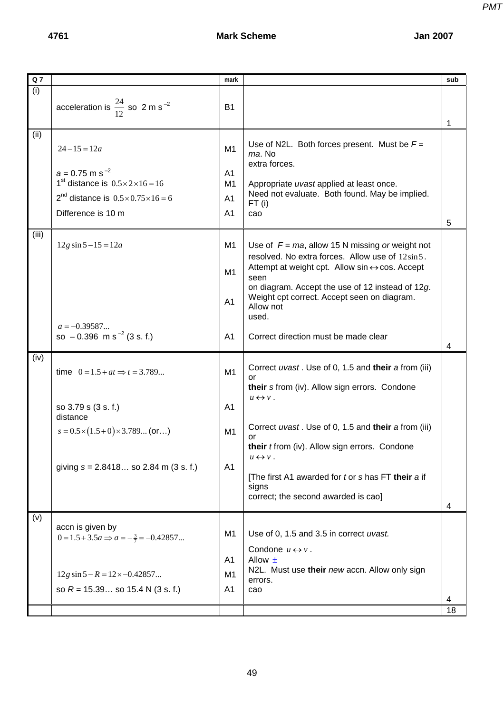| $Q$ 7 |                                                                                                                                                                                            | mark                                                     |                                                                                                                                                                                                                                                                                                                                                                                             | sub     |
|-------|--------------------------------------------------------------------------------------------------------------------------------------------------------------------------------------------|----------------------------------------------------------|---------------------------------------------------------------------------------------------------------------------------------------------------------------------------------------------------------------------------------------------------------------------------------------------------------------------------------------------------------------------------------------------|---------|
| (i)   | acceleration is $\frac{24}{12}$ so 2 m s <sup>-2</sup>                                                                                                                                     | <b>B1</b>                                                |                                                                                                                                                                                                                                                                                                                                                                                             | 1       |
| (ii)  | $24 - 15 = 12a$<br>$a = 0.75$ m s <sup>-2</sup><br>1 <sup>st</sup> distance is $0.5 \times 2 \times 16 = 16$<br>$2^{nd}$ distance is $0.5 \times 0.75 \times 16 = 6$<br>Difference is 10 m | M <sub>1</sub><br>A1<br>M1<br>A1<br>A <sub>1</sub>       | Use of N2L. Both forces present. Must be $F =$<br>ma. No<br>extra forces.<br>Appropriate uvast applied at least once.<br>Need not evaluate. Both found. May be implied.<br>$FT$ (i)<br>cao                                                                                                                                                                                                  | 5       |
| (iii) | $12g \sin 5 - 15 = 12a$<br>$a = -0.39587$<br>so $-0.396$ m s <sup>-2</sup> (3 s. f.)                                                                                                       | M <sub>1</sub><br>M <sub>1</sub><br>A <sub>1</sub><br>A1 | Use of $F = ma$ , allow 15 N missing or weight not<br>resolved. No extra forces. Allow use of 12sin 5.<br>Attempt at weight cpt. Allow $sin \leftrightarrow cos$ . Accept<br>seen<br>on diagram. Accept the use of 12 instead of 12g.<br>Weight cpt correct. Accept seen on diagram.<br>Allow not<br>used.<br>Correct direction must be made clear                                          | 4       |
| (iv)  | time $0 = 1.5 + at \implies t = 3.789$<br>so 3.79 s (3 s. f.)<br>distance<br>$s = 0.5 \times (1.5 + 0) \times 3.789$ (or)<br>giving $s = 2.8418$ so 2.84 m (3 s. f.)                       | M1<br>A1<br>M1<br>A <sub>1</sub>                         | Correct uvast. Use of 0, 1.5 and their a from (iii)<br>or<br>their s from (iv). Allow sign errors. Condone<br>$u \leftrightarrow v$ .<br>Correct uvast. Use of 0, 1.5 and their a from (iii)<br>or<br>their <i>t</i> from (iv). Allow sign errors. Condone<br>$u \leftrightarrow v$ .<br>[The first A1 awarded for t or s has FT their a if<br>signs<br>correct; the second awarded is cao] | 4       |
| (v)   | accn is given by<br>$0 = 1.5 + 3.5a \Rightarrow a = -\frac{3}{7} = -0.42857$<br>$12g \sin 5 - R = 12 \times -0.42857$<br>so $R = 15.39$ so 15.4 N (3 s. f.)                                | M1<br>A <sub>1</sub><br>M <sub>1</sub><br>A <sub>1</sub> | Use of 0, 1.5 and 3.5 in correct uvast.<br>Condone $u \leftrightarrow v$ .<br>Allow $\pm$<br>N2L. Must use their new accn. Allow only sign<br>errors.<br>cao                                                                                                                                                                                                                                | 4<br>18 |